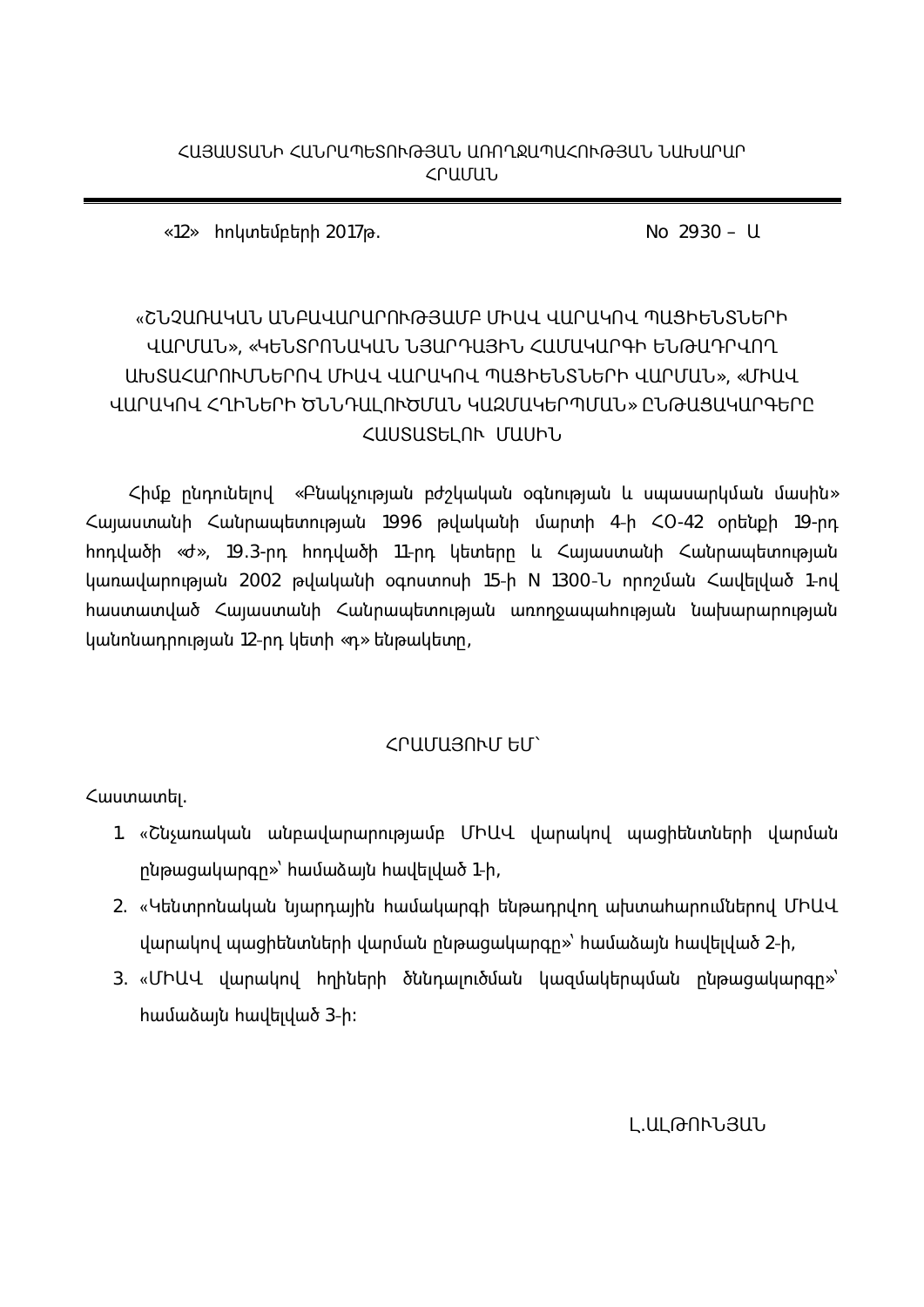No  $2930 - U$ 

 $\langle 12 \rangle$  hnկտեմբերի 2017թ.

# «ՇՆՉԱՌԱԿԱՆ ԱՆԲԱՎԱՐԱՐՈՒԹՅԱՄԲ ՄԻԱՎ ՎԱՐԱԿՈՎ ՊԱՑԻԵՆՏՆԵՐԻ ՎԱՐՄԱՆ», «ԿԵՆՏՐՈՆԱԿԱՆ ՆՅԱՐԴԱՅԻՆ ՀԱՄԱԿԱՐԳԻ ԵՆԹԱԴՐՎՈՂ ԱԽՏԱՀԱՐՈՒՄՆԵՐՈՎ ՄԻԱՎ ՎԱՐԱԿՈՎ ՊԱՑԻԵՆՏՆԵՐԻ ՎԱՐՄԱՆ», «ՄԻԱՎ ՎԱՐԱԿՈՎ ՀՂԻՆԵՐԻ ԾՆՆԴԱԼՈՒԾՄԱՆ ԿԱԶՄԱԿԵՐՊՄԱՆ» ԸՆԹԱՑԱԿԱՐԳԵՐԸ ՀԱՍՏԱՏԵԼՈՒ ՄԱՍԻՆ

 $\mathsf{h}$ նք ընդունելով «Բնակչության բժշկական օգնության և սպասարկման մասին»  $\zeta$ այաստանի  $\zeta$ անրապետության 1996 թվականի մարտի 4-ի  $\zeta$ 0-42 օրենքի 19-րդ hոդվածի «ժ», 19.3-րդ հոդվածի 11-րդ կետերը և Հայաստանի Հանրապետության կառավարության 2002 թվականի օգոստոսի 15-ի N 1300-Ն որոշման Հավելված 1-ով hաստատված Հայաստանի Հանրապետության առողջապահության նախարարության կանոնադրության 12-րդ կետի «դ» ենթակետը,

## ՀՐԱՄԱՅՈՒՄ ԵՄ

*<u>Cuuunuuntij</u>*.

- 1. «Շնչառական անբավարարությամբ ՄԻԱՎ վարակով պացիենտների վարման րնթացակարգր»՝ hամաձայն hավելված 1-ի,
- 2. «Կենտրոնական նյարդային համակարգի ենթադրվող ախտահարումներով ՄԻԱՎ  $1$ վարակով պացիենտների վարման ընթացակարգը»՝ համաձայն հավելված 2-ի,
- 3. «ՄԻԱՎ վարակով հղիների ծննդալուծման կազմակերպման ընթացակարգը»՝  $h$ ամաձայն  $h$ ավելված 3-ի:

Լ.ԱԼԹՈՒՆՅԱՆ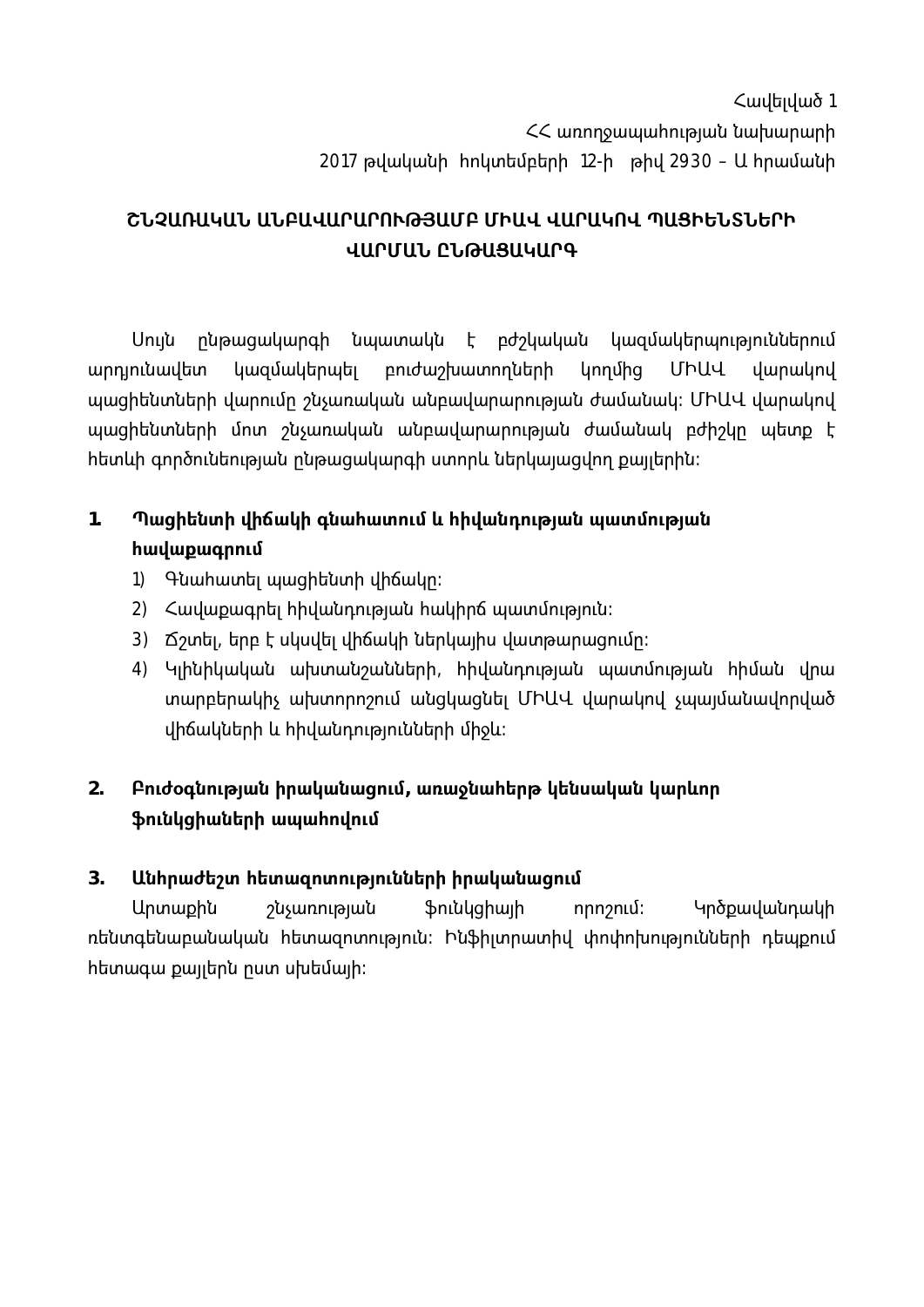Հավելված 1 << wnnnow wunninguut tuurununh 2017 թվականի hnկտեմբերի 12-ի թիվ 2930 – Ա hրամանի

# ՇՆՉԱՌԱԿԱՆ ԱՆԲԱՎԱՐԱՐՈՒԹՅԱՄԲ ՄԻԱՎ ՎԱՐԱԿՈՎ ՊԱՑԻԵՆՏՆԵՐԻ ՎԱՐՄԱՆ ԸՆԹԱՑԱԿԱՐԳ

Սույն րնթացակարգի նպատակն է բժշկական կազմակերպություններում ՄԻԱՎ արդյունավետ կազմակերպել բուժաշխատողների կողմից վարակով պացիենտների վարումը շնչառական անբավարարության ժամանակ։ ՄԻԱՎ վարակով պացիենտների մոտ շնչառական անբավարարության ժամանակ բժիշկը պետք է հետևի գործունեության ընթացակարգի ստորև ներկայացվող քայլերին։

### $1<sub>1</sub>$ Պացիենտի վիճակի գնահատում և հիվանդության պատմության **հավաքագրում**

- 1) Գնահատել պացիենտի վիճակը։
- 2) Հավաքագրել հիվանդության հակիրճ պատմություն։
- 3) Ճշտել, երբ է սկսվել վիճակի ներկալիս վատթարացումը։
- 4) Կլինիկական ախտանշանների, հիվանդության պատմության հիման վրա տարբերակիչ ախտորոշում անցկացնել ՄԻԱՎ վարակով չպալմանավորված վիճակների և իիվանդությունների միջև։

### $2.$ Բուժօգնության իրականացում, առաջնահերթ կենսական կարևոր ֆունկցիաների ապահովում

#### $3<sub>1</sub>$ Անհրաժեշտ հետազոտությունների իրականացում

<u> Արտաքին</u> շնչառության *Sniulghwih* Կրծքավանդակի որոշում։ ռենտգենաբանական հետազոտություն։ Ինֆիլտրատիվ փոփոխությունների դեպքում hետագա քայլերն ըստ սխեմայի։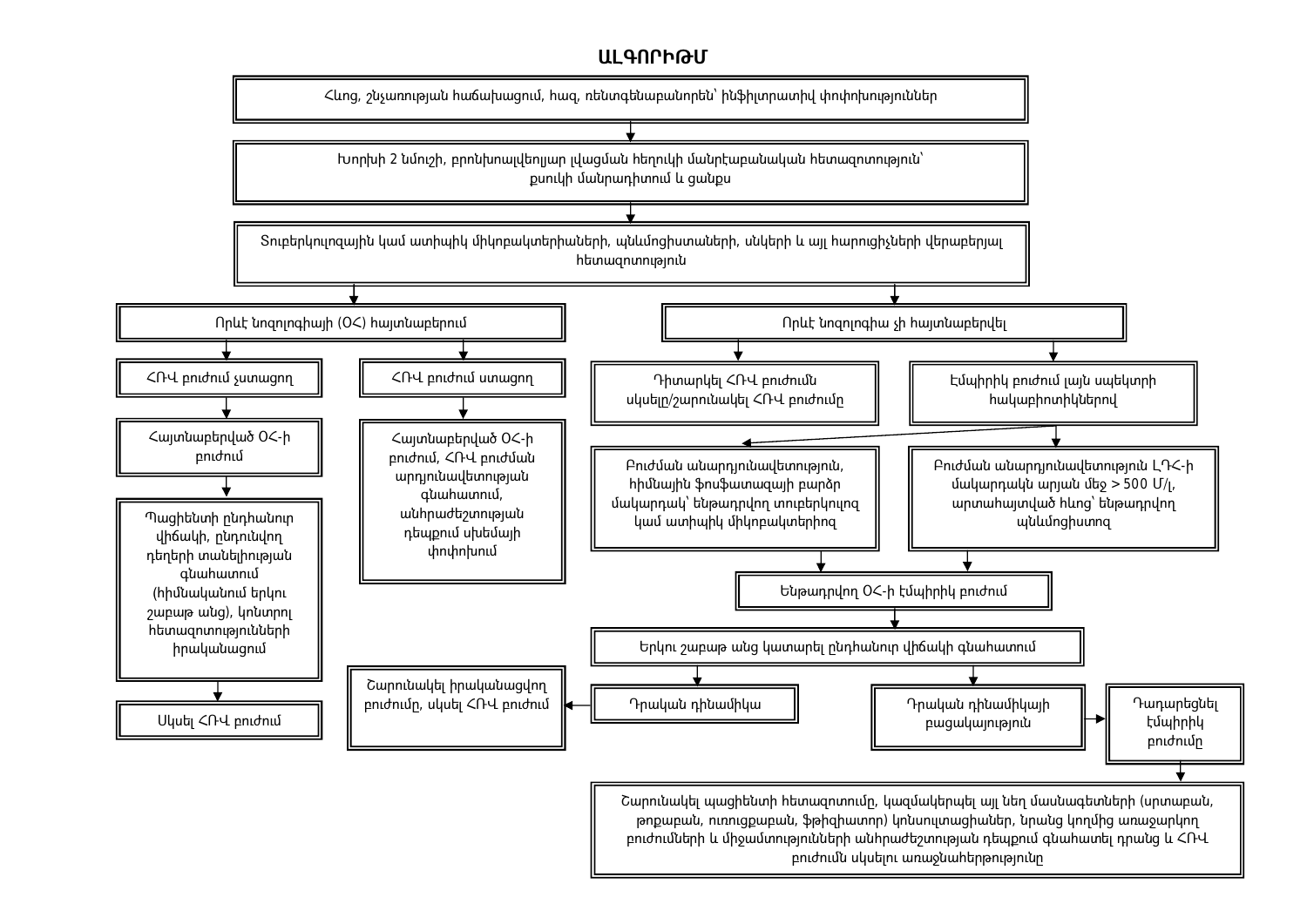### **Ш** ԳՈՐԻԹՄ

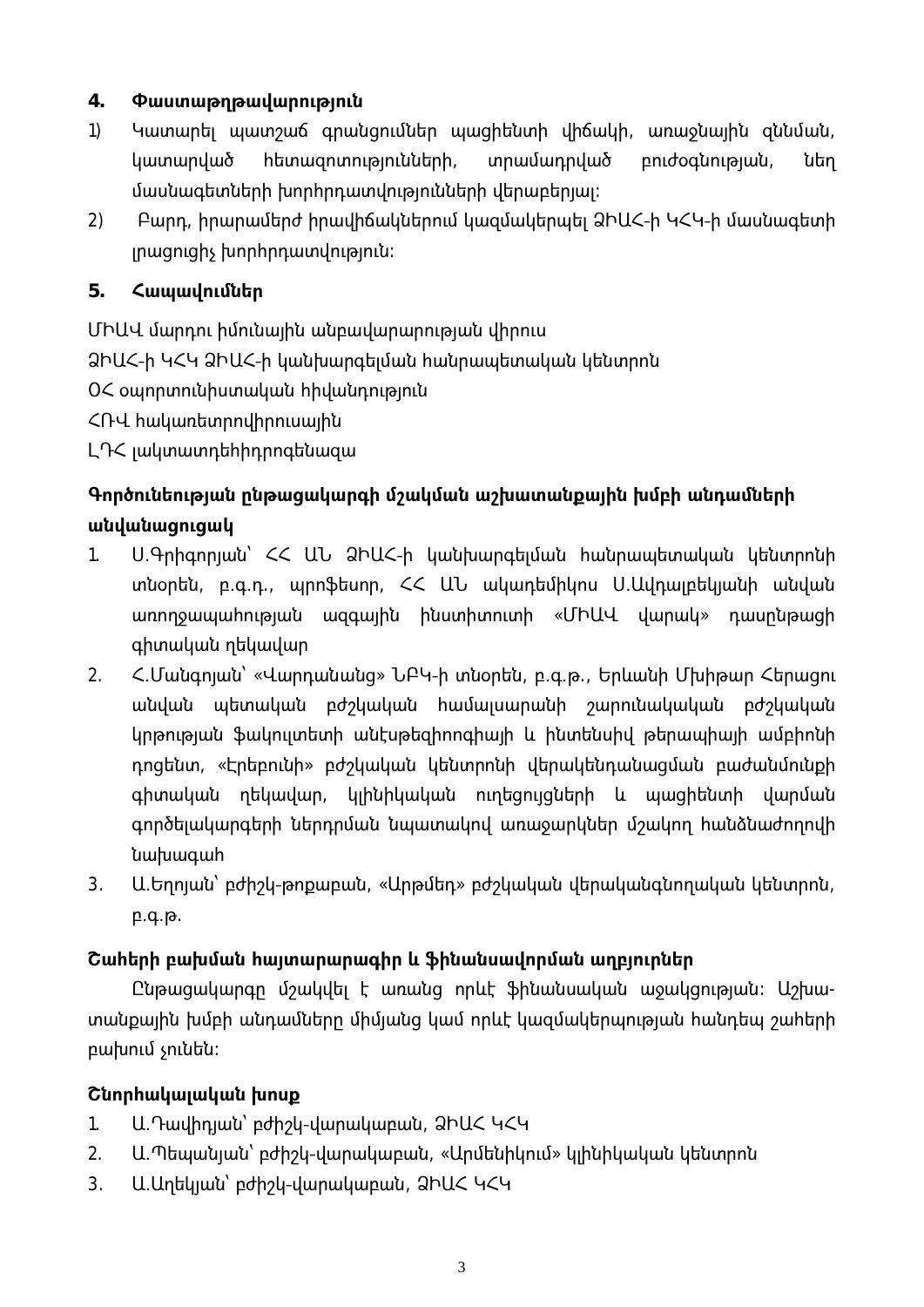#### 4. Փաստաթղթավարություն

- $1)$ Կատարել պատշաճ գրանցումներ պացիենտի վիճակի, առաջնալին զննման, կատարված <u>իետազոտությունների,</u> տրամադրված pnidoqunipuuu, նեղ մասնագետների խորհրդատվությունների վերաբերյալ։
- Բարդ, իրարամերժ իրավիճակներում կազմակերպել ՁԻԱՀ-ի ԿՀԿ-ի մասնագետի  $2)$ յրացուցիչ խորհրդատվություն։

#### 5. Հապավումներ

ՄԻԱՎ մարդու իմունային անբավարարության վիրուս

ՁԻԱՀ-ի ԿՀԿ ՁԻԱՀ-ի կանխարգելման հանրապետական կենտրոն

ՕՀ օպորտունիստական հիվանդություն

ՀՌՎ հակառետրովիրուսային

LԴ< jwywwwnthhnnnqtuwqw

# Գործունեության ընթացակարգի մշակման աշխատանքային խմբի անդամների անվանացուցակ

- $1<sub>1</sub>$ Ս.Գրիգորյան՝ ՀՀ ԱՆ ՁԻԱՀ-ի կանխարգեյման հանրապետական կենտրոնի տնօրեն, բ.գ.դ., պրոֆեսոր, ՀՀ ԱՆ ակադեմիկոս Ս.Ավդայբեկյանի անվան wnnnowwwhnual wqqwinti huunhununh «ՄԻԱՎ վարակ» դասընթացի գիտական ղեկավար
- $2<sub>1</sub>$ <.Մանգոլան՝ «Վարդանանց» ՆԲԿ-ի տնօրեն, բ.գ.թ., Երևանի Մխիթար Հերացու անվան պետական բժշկական համալսարանի շարունակական բժշկական կրթության ֆակուլտետի անէսթեզիոոգիայի և ինտենսիվ թերապիայի ամբիոնի դոցենտ, «Էրեբունի» բժշկական կենտրոնի վերակենդանացման բաժանմունքի գիտական ղեկավար, կլինիկական ուղեցույցների և պացիենտի վարման գործելակարգերի ներդրման նպատակով առաջարկներ մշակող հանձնաժողովի նախագահ
- 3. Ա.Եղոյան՝ բժիշկ-թոքաբան, «Արթմեդ» բժշկական վերականգնողական կենտրոն,  $p.q.p.$

# Շահերի բախման հայտարարագիր և ֆինանսավորման աղբյուրներ

Ընթացակարգը մշակվել է առանց որևէ ֆինանսական աջակցության։ Աշխատանքային խմբի անդամները միմյանց կամ որևէ կազմակերպության հանդեպ շահերի բախում չունեն։

# Cunnhwywywywu խոսք

- $1.$ Ա.Դավիդլան՝ բժիշկ-վարակաբան, ՁԻԱՀ ԿՀԿ
- $2.$ Ա.Պեպանյան՝ բժիշկ-վարակաբան, «Արմենիկում» կլինիկական կենտրոն
- $3.$ Ա. Աղեկյան՝ բժիշկ-վարակաբան, ՁԻԱՀ ԿՀԿ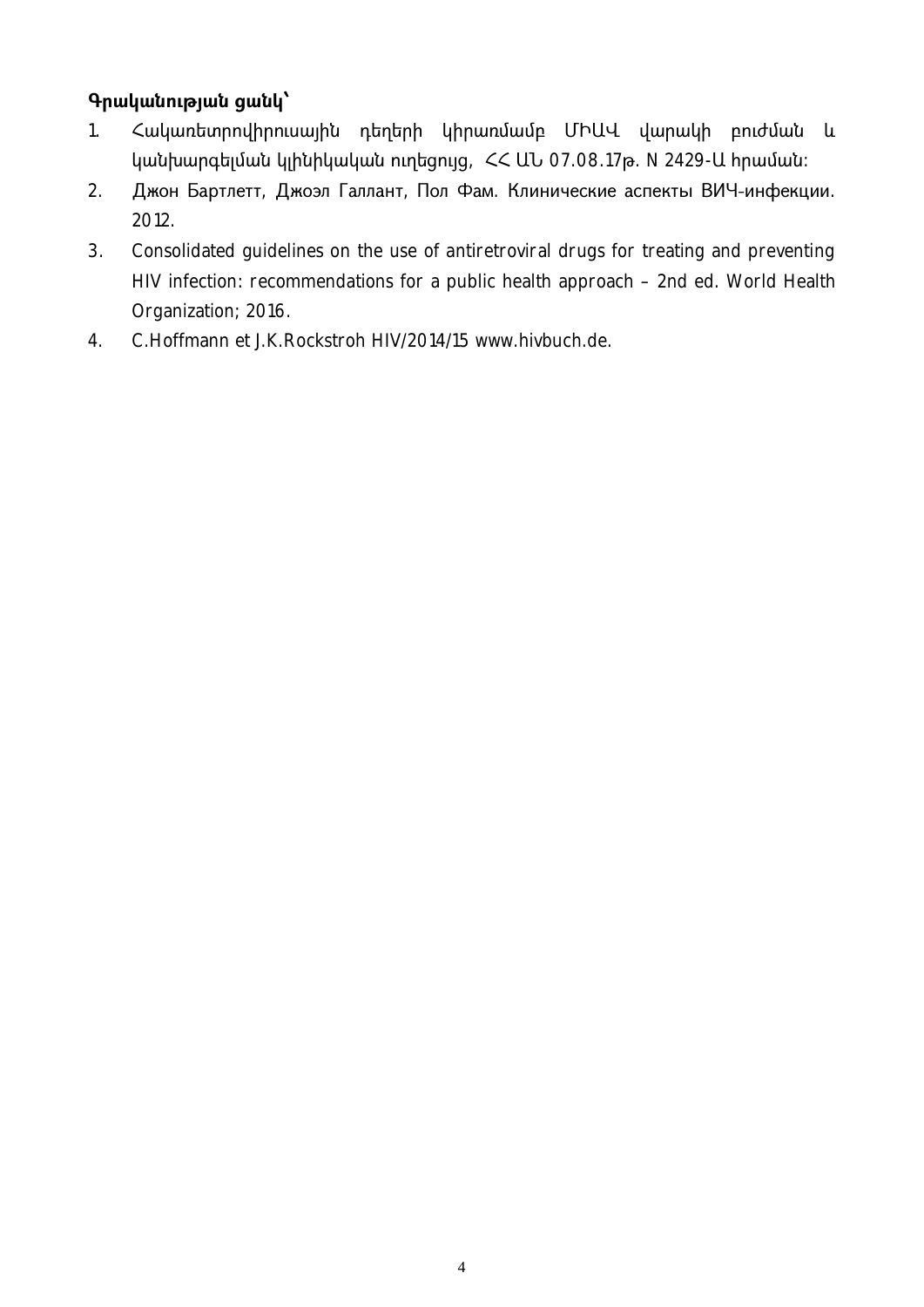## **4 pwywtnpywt gwty**

- 1. Հակառետրովիրուսային դեղերի կիրառմամբ ՄԻԱՎ վարակի բուժման և կանխարգելման կլինիկական ուղեցույց, ՀՀ ԱՆ 07.08.17թ. N 2429-Ա հրաման։
- 2. Джон Бартлетт, Джоэл Галлант, Пол Фам. Клинические аспекты ВИЧ-инфекции. 2012.
- 3. Consolidated guidelines on the use of antiretroviral drugs for treating and preventing HIV infection: recommendations for a public health approach – 2nd ed. World Health Organization; 2016.
- 4. C.Hoffmann et J.K.Rockstroh HIV/2014/15 www.hivbuch.de.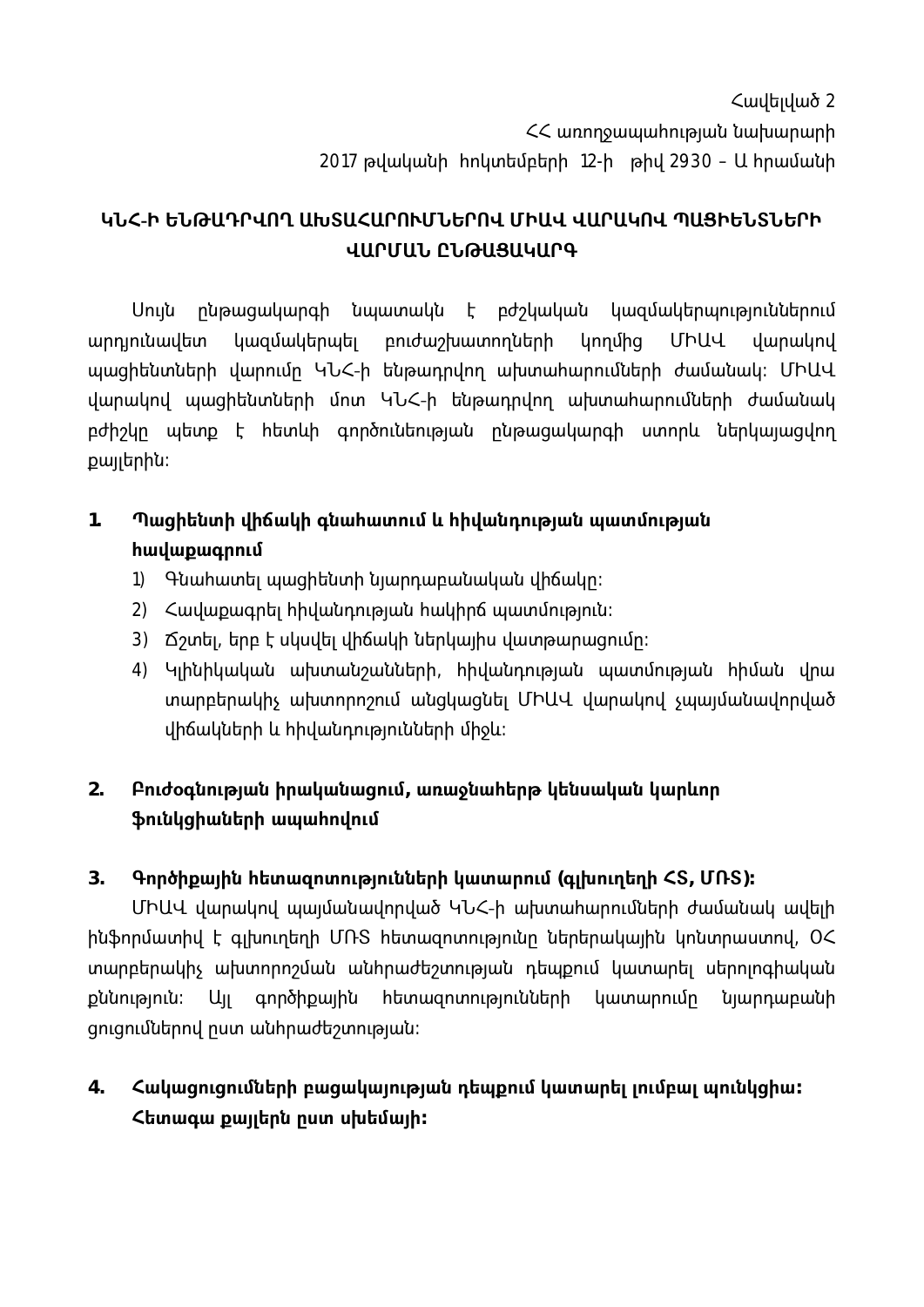Հավելված 2 << առողջապահության նախարարի 2017 թվականի hnկտեմբերի 12-ի թիվ 2930 – Ա hրամանի

# ԿՆՀ-Ի ԵՆԹԱԴՐՎՈՂ ԱԽՏԱՀԱՐՈՒՄՆԵՐՈՎ ՄԻԱՎ ՎԱՐԱԿՈՎ ՊԱՑԻԵՆՏՆԵՐԻ ՎԱՐՄԱՆ ԸՆԹԱՑԱԿԱՐԳ

Սուլն ընթացակարգի նպատակն է բժշկական կազմակերպություններում արդյունավետ կազմակերպել բուժաշխատողների կողմից ՄԻԱՎ վարակով պացիենտների վարումը ԿՆՀ-ի ենթադրվող ախտահարումների ժամանակ։ ՄԻԱՎ վարակով պացիենտների մոտ ԿՆՀ-ի ենթադրվող ախտահարումների ժամանակ բժիշկը պետք է հետևի գործունեության ընթացակարգի ստորև ներկայացվող քայլերին։

### $1.$ Պացիենտի վիճակի գնահատում և հիվանդության պատմության **h**ավաքագրում

- 1) Գնահատել պացիենտի նյարդաբանական վիճակը։
- 2) Հավաքագրել հիվանդության հակիրճ պատմություն։
- 3) Ճշտել, երբ է սկսվել վիճակի ներկայիս վատթարացումը։
- 4) Կլինիկական ախտանշանների, հիվանդության պատմության հիման վրա տարբերակիչ ախտորոշում անցկացնել ՄԻԱՎ վարակով չպալմանավորված վիճակների և հիվանդությունների միջև։

### $2.$ Բուժօգնության իրականացում, առաջնահերթ կենսական կարևոր ֆունկցիաների ապահովում

#### $3<sub>1</sub>$ Գործիքային հետազոտությունների կատարում (գլխուղեղի <Տ, ՄՌՏ)։

ՄԻԱՎ վարակով պալմանավորված ԿՆՀ-ի ախտահարումների ժամանակ ավելի ինֆորմատիվ է գլխուղեղի ՄՌՏ հետազոտությունը ներերակային կոնտրաստով, ՕՀ տարբերակիչ ախտորոշման անհրաժեշտության դեպքում կատարել սերոլոգիական քննություն։ Ալլ գործիքային հետազոտությունների կատարումը նյարդաբանի gnigniuutipnu nuun wuhnuudtaunipuut:

 $4.$ Հակացուցումների բացակայության դեպքում կատարել լումբալ պունկցիա։ Հետագա քայլերն ըստ սխեմայի**։**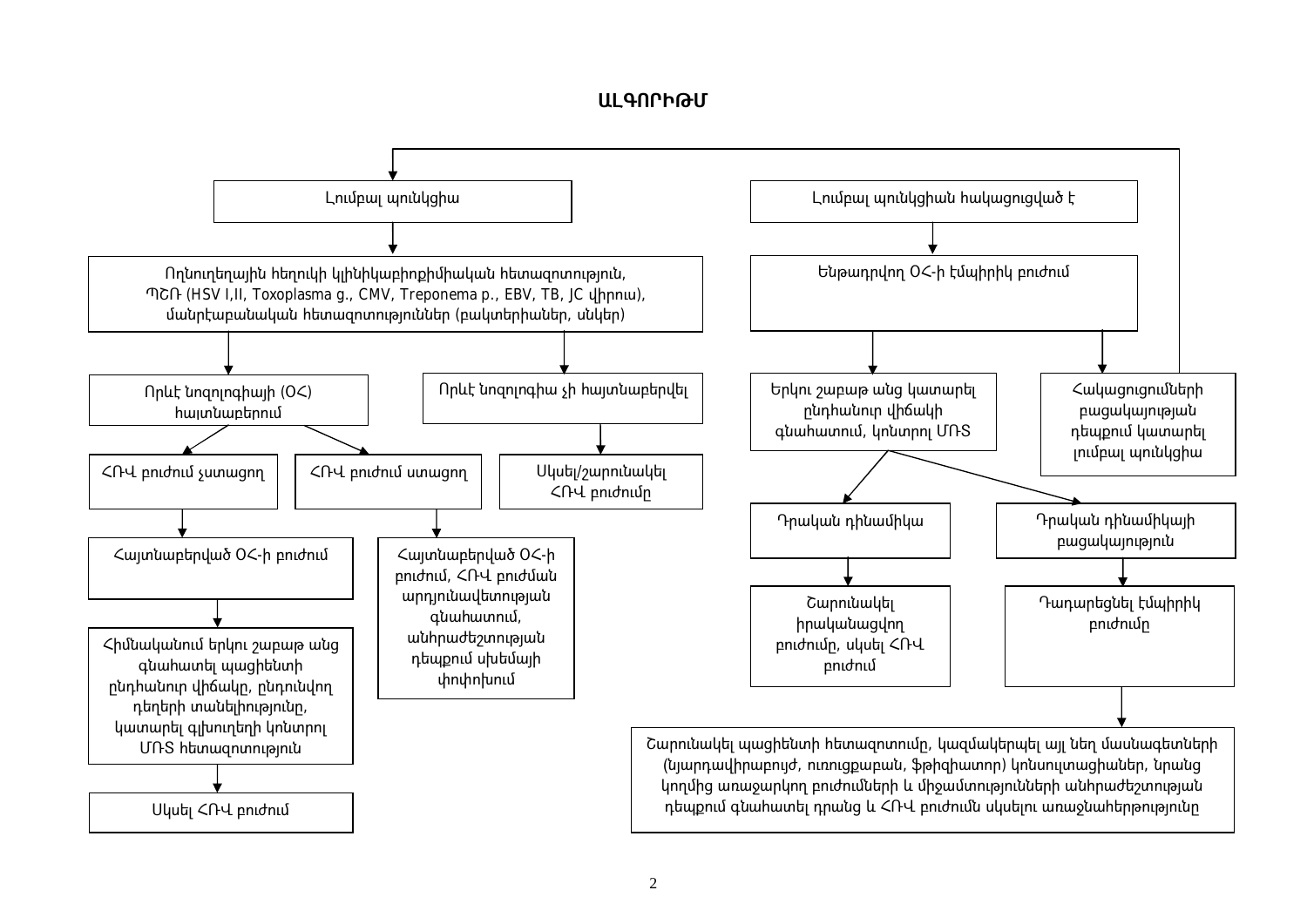### ԱԼԳՈՐԻԹՄ

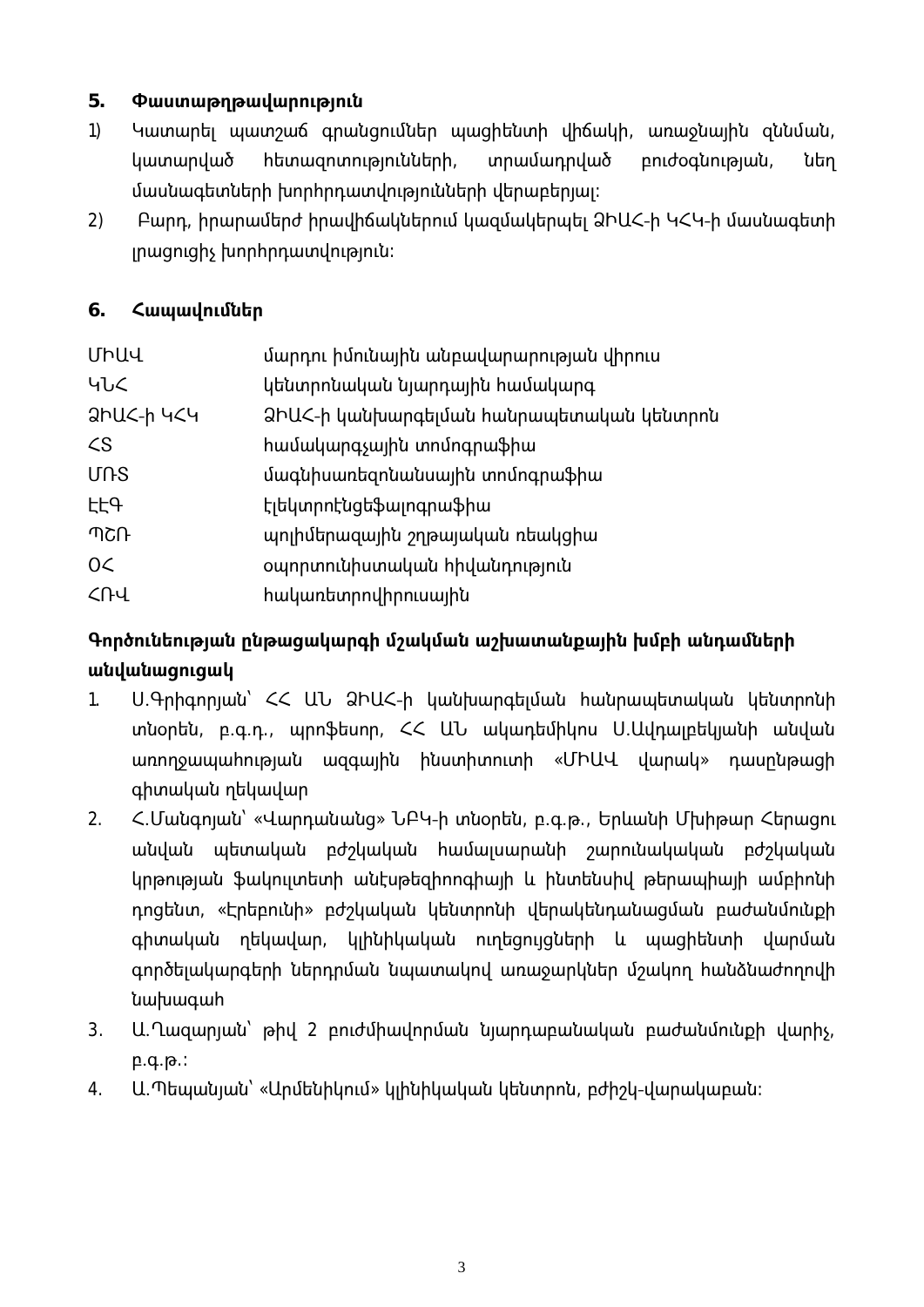#### 5. Փաստաթղթավարություն

- $1)$ Կատարել պատշաճ գրանցումներ պացիենտի վիճակի, առաջնային ցննման, կատարված <u>հետազոտությունների,</u> տրամադրված pnidoqunipuuu, նեղ մասնագետների խորհրդատվությունների վերաբերյալ։
- Բարդ, իրարամերժ իրավիճակներում կազմակերպել ՁԻԱՀ-ի ԿՀԿ-ի մասնագետի  $2)$ յրացուցիչ խորիրդատվություն։

#### $6.$ Հապավումներ

| ՄԻԱՎ                    | մարդու իմունային անբավարարության վիրուս          |
|-------------------------|--------------------------------------------------|
| ႡႱႠ                     | կենտրոնական նյարդային համակարգ                   |
| <u>ahu&lt;-h 4&lt;4</u> | <u> ՁԻԱՀ-ի կանխարգելման հանրապետական կենտրոն</u> |
| $\zeta$                 | համակարգչային տոմոգրաֆիա                         |
| <b>UNS</b>              | մագնիսառեզոնանսային տոմոգրաֆիա                   |
| <b>LL</b> A             | Էլեկտրոէնցեֆալոգրաֆիա                            |
| ብሪቡ                     | պոլիմերազային շղթայական ռեակցիա                  |
| 0<                      | օպորտունիստական հիվանդություն                    |
| ՀՌՎ                     | հակառետրովիրուսային                              |
|                         |                                                  |

# Գործունեության ընթացակարգի մշակման աշխատանքային խմբի անդամների անվանացուցակ

- Ս.Գրիգորյան՝ ՀՀ ԱՆ ՁԻԱՀ-ի կանխարգեյման հանրապետական կենտրոնի  $1.$ տնօրեն, բ.գ.դ., պրոֆեսոր, ՀՀ ԱՆ ակադեմիկոս Ս.Ավդայբեկյանի անվան wnnnowwwhnualwu wqqwlhu huunhununh «ՄԻԱՎ վարակ» դասընթացի գիտական ղեկավար
- <.Մանգոլան՝ «Վարդանանց» ՆԲԿ-ի տնօրեն, բ.գ.թ., Երևանի Մխիթար Հերացու  $2.$ անվան պետական բժշկական համալսարանի շարունակական բժշկական կրթության ֆակուլտետի անէսթեզիոոգիայի և ինտենսիվ թերապիայի ամբիոնի դոցենտ, «Էրեբունի» բժշկական կենտրոնի վերակենդանացման բաժանմունքի գիտական ղեկավար, կլինիկական ուղեցուլցների և պացիենտի վարման գործելակարգերի ներդրման նպատակով առաջարկներ մշակող հանձնաժողովի uwhwqwh
- Ա.Ղազարյան՝ թիվ 2 բուժմիավորման նյարդաբանական բաժանմունքի վարիչ,  $3.$  $p.q.p.$ :
- Ա.Պեպանյան՝ «Արմենիկում» կյինիկական կենտրոն, բժիշկ-վարակաբան։  $4.$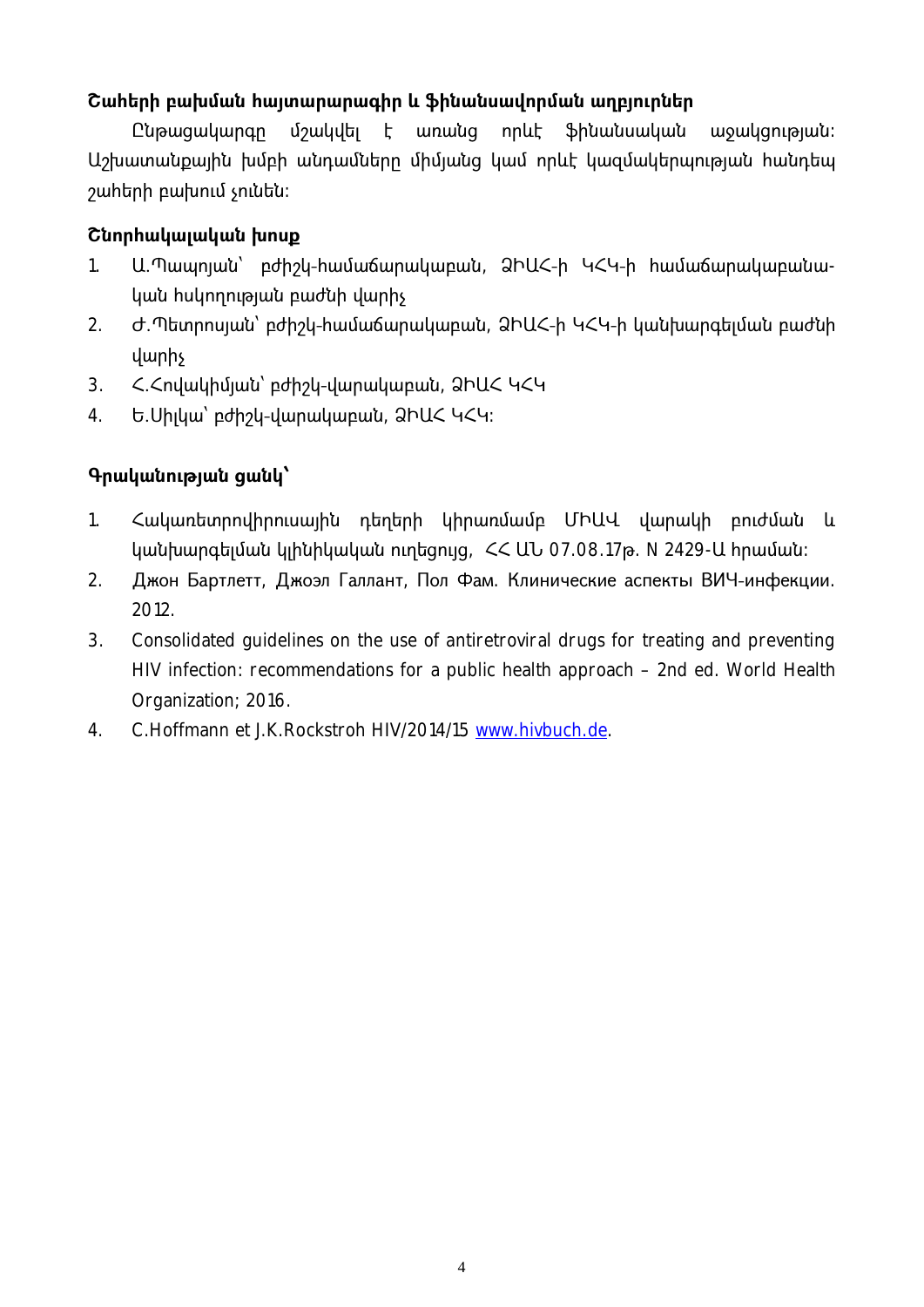## $\alpha$  cuhtinh բախման հայտարարագիր և ֆինանսավորման աղբյուրներ

Ընթացակարգը մշակվել է առանց որևէ ֆինանսական այ ջակցության։ Աշխատանքային խմբի անդամները միմյանց կամ որևէ կազմակերպության հանդեպ շահերի բախում չունեն։

### $\alpha$  Cunnhwywywy whip

- 1. Ա.Պապոյան՝ բժիշկ-համաճարակաբան, ՁԻԱՀ-ի ԿՀԿ-ի համաճարակաբանական հսկողության բաժնի վարիչ
- 2. Ժ.Պետրոսյան՝ բժիշկ-համաճարակաբան, ՁԻԱՀ-ի ԿՀԿ-ի կանխարգելման բաժնի վարիչ
- 3. Հ.Հովակիմյան՝ բժիշկ-վարակաբան, ՁԻԱՀ ԿՀԿ
- 4. Ե.Սիլկա՝ բժիշկ-վարակաբան, ՁԻԱՀ ԿՀԿ։

## **4** Գրականության ցանկ՝

- 1. Հակառետրովիրուսային դեղերի կիրառմամբ ՄԻԱՎ վարակի բուժման և կանխարգելման կլինիկական ուղեցույց, ՀՀ ԱՆ 07.08.17թ. N 2429-Ա հրաման։
- 2. Джон Бартлетт, Джоэл Галлант, Пол Фам. Клинические аспекты ВИЧ-инфекции. 2012.
- 3. Consolidated guidelines on the use of antiretroviral drugs for treating and preventing HIV infection: recommendations for a public health approach – 2nd ed. World Health Organization; 2016.
- 4. C.Hoffmann et J.K.Rockstroh HIV/2014/15 www.hivbuch.de.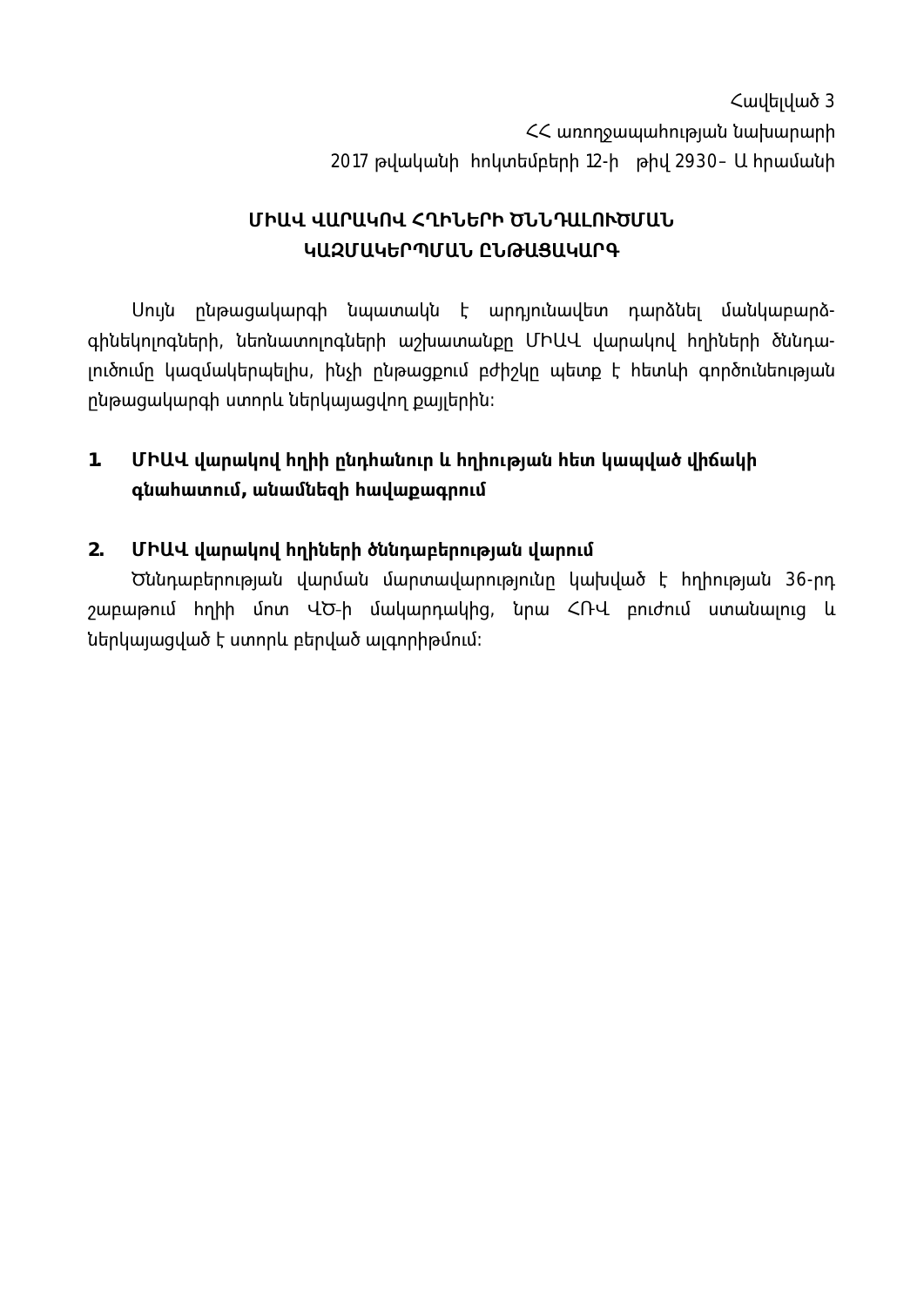$\zeta$ ավելված 3 << wnnnowwwhnualwu bwhwnwnh 2017 թվականի hnկտեմբերի 12-ի թիվ 2930- Ա hրամանի

# ՄԻԱՎ ՎԱՐԱԿՈՎ ՀՂԻՆԵՐԻ ԾՆՆԴԱԼՈՒԾՄԱՆ ԿԱԶՄԱԿԵՐՊՄԱՆ ԸՆԹԱՑԱԿԱՐԳ

Սուլն ընթացակարգի նպատակն է արդլունավետ դարձնել մանկաբարձգինեկոլոգների, նեոնատոլոգների աշխատանքը ՄԻԱՎ վարակով հղիների ծննդալուծումը կազմակերպելիս, ինչի ընթացքում բժիշկը պետք է հետևի գործունեության րնթացակարգի ստորև ներկալացվող քալլերին։

### $1.$ ՄԻԱՎ վարակով հղիի ընդհանուր և հղիության հետ կապված վիճակի գնահատում, անամնեզի հավաքագրում

#### $2.$ ՄԻԱՎ վարակով հղիների ծննդաբերության վարում

Ծննդաբերության վարման մարտավարությունը կախված է հղիության 36-րդ շաբաթում իղիի մոտ ՎԾ-ի մակարդակից, նրա ՀՌՎ բուժում ստանալուց և ներկալացված է ստորև բերված այգորիթմում։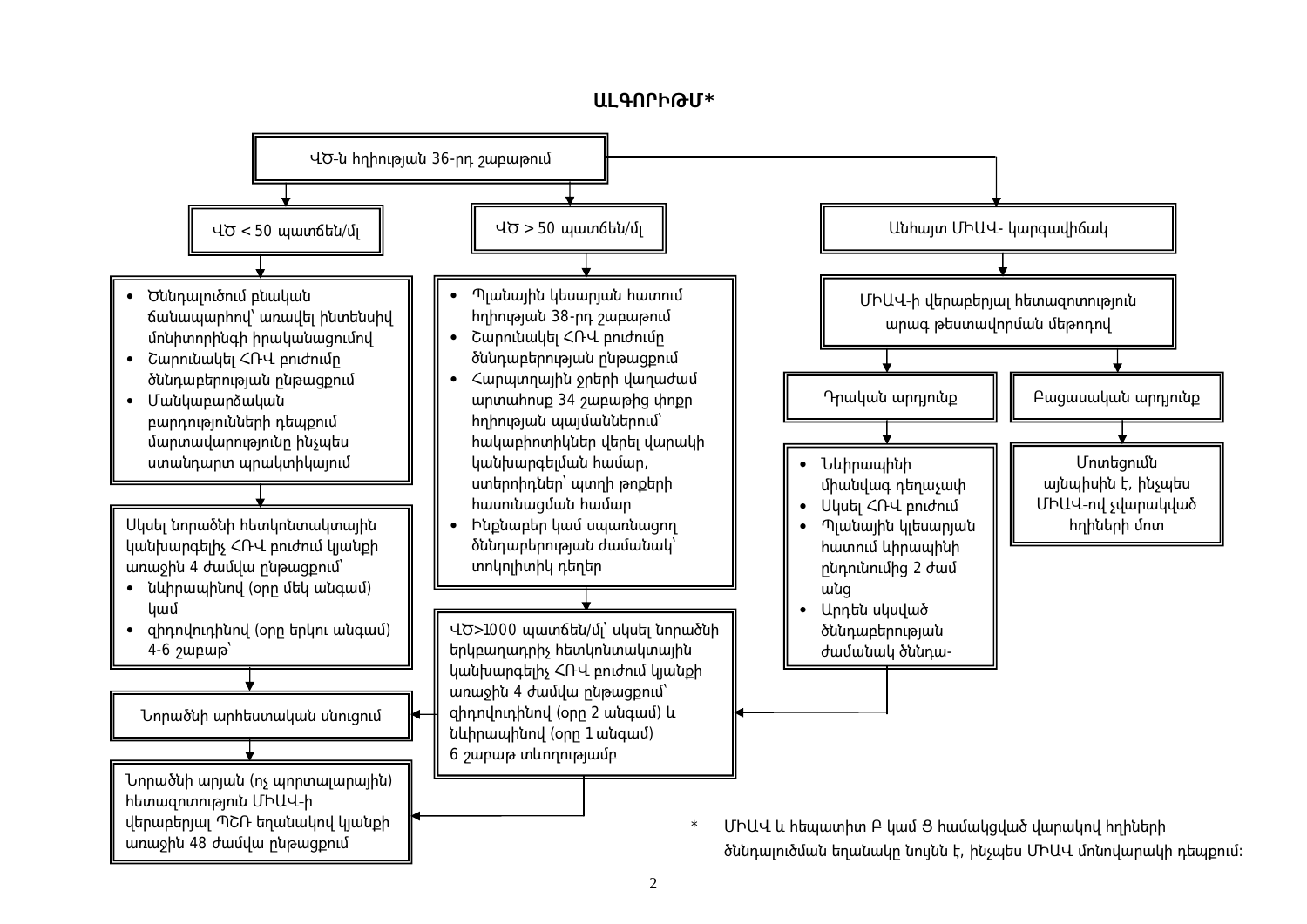

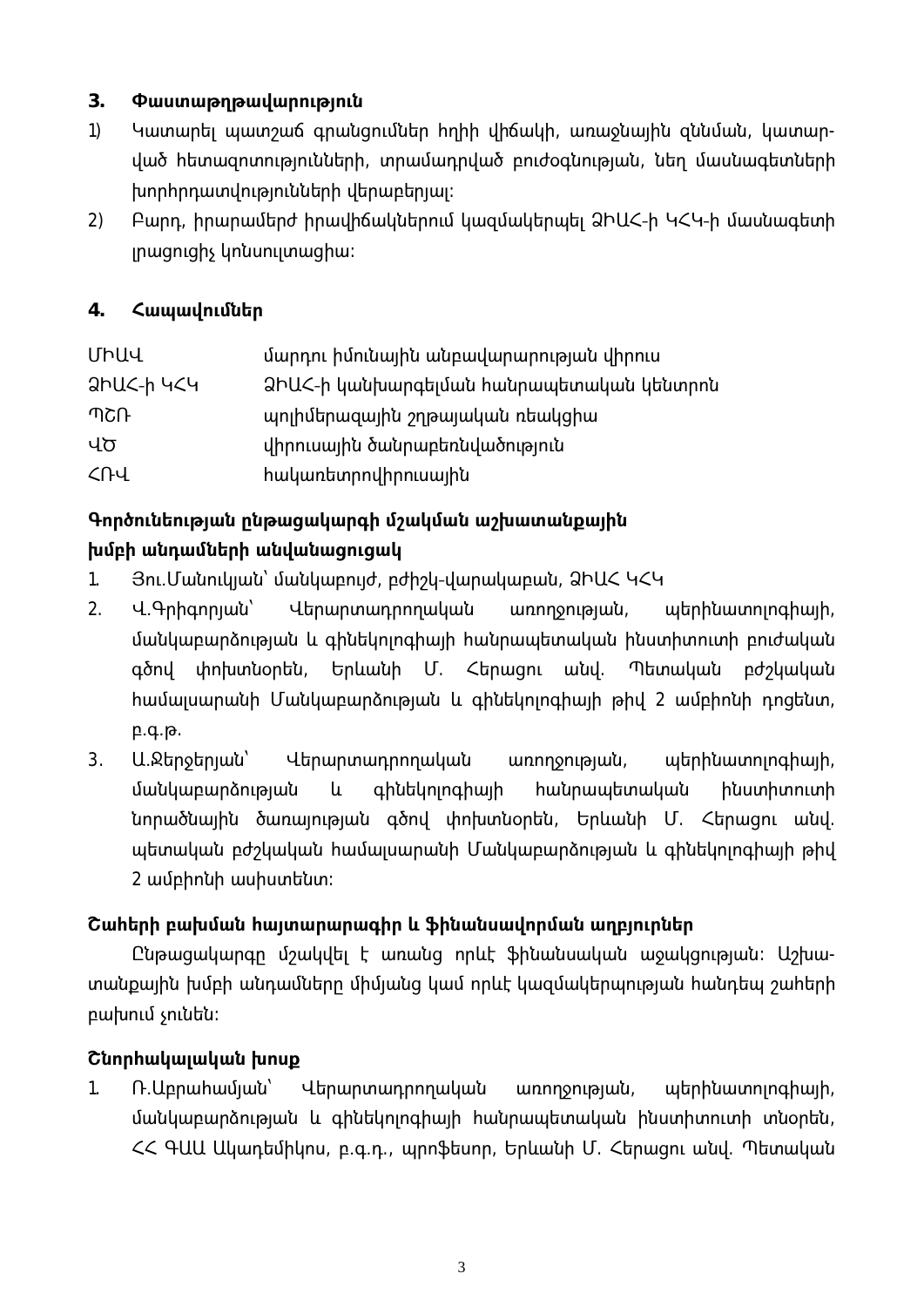#### $3.$ Փաստաթղթավարություն

- $1)$ Կատարել պատշաճ գրանցումներ հղիի վիճակի, առաջնալին զննման, կատարված հետազոտությունների, տրամադրված բուժօգնության, նեղ մասնագետների խորհրդատվությունների վերաբերյալ։
- $2)$ Բարդ, իրարամերժ իրավիճակներում կազմակերպել ՁԻԱՀ-ի ԿՀԿ-ի մասնագետի լրացուցիչ կոնսուլտացիա։

#### $\overline{4}$ . Հապավումներ

| ՄԻԱՎ               | մարդու իմունային անբավարարության վիրուս  |
|--------------------|------------------------------------------|
| <u> ƏhUC-h 4C4</u> | ՁԻԱՀ-ի կանխարգելման հանրապետական կենտրոն |
| ብሪቡ                | պոլիմերազային շղթայական ռեակցիա          |
| ՎԾ                 | վիրուսալին ծանրաբեռնվածություն           |
| $\sqrt{1}$         | <u> hակառետրովիրուսային</u>              |
|                    |                                          |

# Գործունեության ընթացակարգի մշակման աշխատանքային խմբի անդամների անվանացուցակ

- $1.$ Յու.Մանուկյան՝ մանկաբույժ, բժիշկ-վարակաբան, ՁԻԱՀ ԿՀԿ
- $2<sub>1</sub>$ Վերարտադրողական Վ.Գրիգորյան՝ առողջության, պերինատոլոգիայի, մանկաբարձության և գինեկոլոգիայի հանրապետական ինստիտուտի բուժական Երևանի Մ. Հերացու անվ. gδnվ փոխտնօրեն, Պետական բժշկական իամալսարանի Մանկաբարձության և գինեկոլոգիալի թիվ 2 ամբիոնի դոցենտ,  $p.q.p.$
- $3.$ U.Ջերջերյան՝ Վերարտադրողական առողջության, պերինատոլոգիալի, մանկաբարձության և qhutunnqhwih **h**անրապետական huunhunnunh նորածնալին ծառայության գծով փոխտնօրեն, Երևանի Մ. Հերացու անվ. պետական բժշկական համայսարանի Մանկաբարձության և գինեկոյոգիայի թիվ 2 ամբիոնի ասիստենտ։

# Շահերի բախման հայտարարագիր և ֆինանսավորման աղբյուրներ

Ընթացակարգը մշակվել է առանց որևէ ֆինանսական աջակցության։ Աշխատանքային խմբի անդամները միմյանց կամ որևէ կազմակերպության հանդեպ շահերի բախում չունեն։

# Շնորհակալական խոսք

 $1<sub>1</sub>$ Ռ. Աբրահամյան՝ Վերարտադրողական պերինատոլոգիալի, առողջության, մանկաբարձության և գինեկոլոգիալի հանրապետական ինստիտուտի տնօրեն, << 4UU Uluuntununu, p.q.n., արոֆեսոր, Երևանի Մ. Հերացու անվ. Պետական